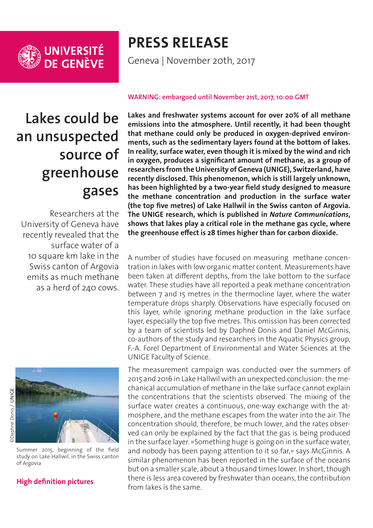

UNIVERSITÉ<br>DE GENÈVE

## **PRESS RELEASE**

Geneva | November 20th, 2017

# **Lakes could be an unsuspected source of greenhouse gases**

Researchers at the University of Geneva have recently revealed that the surface water of a 10 square km lake in the Swiss canton of Argovia emits as much methane as a herd of 240 cows.



Summer 2015, beginning of the field study on Lake Hallwil, in the Swiss canton of Argovia

### **[High definition pictures](http://phototheque.unige.ch/documents/facets?newFacet=mot.cle.marc%3DCdP_171130_McGinnis&clearFacets=1)**

#### **WARNING: embargoed until November 21st, 2017, 10:00 GMT**

**Lakes and freshwater systems account for over 20% of all methane emissions into the atmosphere. Until recently, it had been thought that methane could only be produced in oxygen-deprived environments, such as the sedimentary layers found at the bottom of lakes. In reality, surface water, even though it is mixed by the wind and rich in oxygen, produces a significant amount of methane, as a group of researchers from the University of Geneva (UNIGE), Switzerland, have recently disclosed. This phenomenon, which is still largely unknown, has been highlighted by a two-year field study designed to measure the methane concentration and production in the surface water (the top five metres) of Lake Hallwil in the Swiss canton of Argovia. The UNIGE research, which is published in** *Nature Communications***, shows that lakes play a critical role in the methane gas cycle, where the greenhouse effect is 28 times higher than for carbon dioxide.**

A number of studies have focused on measuring methane concentration in lakes with low organic matter content. Measurements have been taken at different depths, from the lake bottom to the surface water. These studies have all reported a peak methane concentration between 7 and 15 metres in the thermocline layer, where the water temperature drops sharply. Observations have especially focused on this layer, while ignoring methane production in the lake surface layer, especially the top five metres. This omission has been corrected by a team of scientists led by Daphné Donis and Daniel McGinnis, co-authors of the study and researchers in the Aquatic Physics group, F.-A. Forel Department of Environmental and Water Sciences at the UNIGE Faculty of Science.

The measurement campaign was conducted over the summers of 2015 and 2016 in Lake Hallwil with an unexpected conclusion: the mechanical accumulation of methane in the lake surface cannot explain the concentrations that the scientists observed. The mixing of the surface water creates a continuous, one-way exchange with the atmosphere, and the methane escapes from the water into the air. The concentration should, therefore, be much lower, and the rates observed can only be explained by the fact that the gas is being produced in the surface layer. «Something huge is going on in the surface water, and nobody has been paying attention to it so far,» says McGinnis. A similar phenomenon has been reported in the surface of the oceans but on a smaller scale, about a thousand times lower. In short, though there is less area covered by freshwater than oceans, the contribution from lakes is the same.